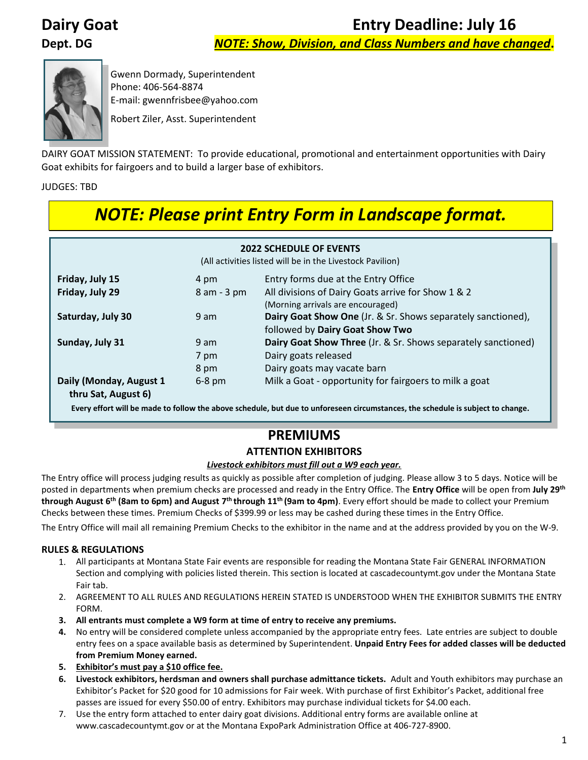**Dairy Goat Entry Deadline: July 16** 

**Dept. DG** *NOTE: Show, Division, and Class Numbers and have changed***.**



Gwenn Dormady, Superintendent Phone: 406-564-8874 E-mail: gwennfrisbee@yahoo.com

Robert Ziler, Asst. Superintendent

DAIRY GOAT MISSION STATEMENT: To provide educational, promotional and entertainment opportunities with Dairy Goat exhibits for fairgoers and to build a larger base of exhibitors.

JUDGES: TBD

# *NOTE: Please print Entry Form in Landscape format.*

| <b>2022 SCHEDULE OF EVENTS</b><br>(All activities listed will be in the Livestock Pavilion) |                      |                                                                                                                      |  |  |
|---------------------------------------------------------------------------------------------|----------------------|----------------------------------------------------------------------------------------------------------------------|--|--|
| Friday, July 15                                                                             | 4 pm                 | Entry forms due at the Entry Office                                                                                  |  |  |
| Friday, July 29                                                                             | 8 am - 3 pm          | All divisions of Dairy Goats arrive for Show 1 & 2<br>(Morning arrivals are encouraged)                              |  |  |
| Saturday, July 30                                                                           | 9 am                 | Dairy Goat Show One (Jr. & Sr. Shows separately sanctioned),<br>followed by Dairy Goat Show Two                      |  |  |
| Sunday, July 31                                                                             | 9 am<br>7 pm<br>8 pm | Dairy Goat Show Three (Jr. & Sr. Shows separately sanctioned)<br>Dairy goats released<br>Dairy goats may vacate barn |  |  |
| Daily (Monday, August 1<br>thru Sat, August 6)                                              | $6-8$ pm             | Milk a Goat - opportunity for fairgoers to milk a goat                                                               |  |  |

**Every effort will be made to follow the above schedule, but due to unforeseen circumstances, the schedule is subject to change.**

# **PREMIUMS**

### **ATTENTION EXHIBITORS**

#### *Livestock exhibitors must fill out a W9 each year.*

The Entry office will process judging results as quickly as possible after completion of judging. Please allow 3 to 5 days. Notice will be posted in departments when premium checks are processed and ready in the Entry Office. The **Entry Office** will be open from **July 29th through August 6<sup>th</sup> (8am to 6pm) and August 7<sup>th</sup> through 11<sup>th</sup> (9am to 4pm). Every effort should be made to collect your Premium** Checks between these times. Premium Checks of \$399.99 or less may be cashed during these times in the Entry Office.

The Entry Office will mail all remaining Premium Checks to the exhibitor in the name and at the address provided by you on the W-9.

#### **RULES & REGULATIONS**

- 1. All participants at Montana State Fair events are responsible for reading the Montana State Fair GENERAL INFORMATION Section and complying with policies listed therein. This section is located at cascadecountymt.gov under the Montana State Fair tab.
- 2. AGREEMENT TO ALL RULES AND REGULATIONS HEREIN STATED IS UNDERSTOOD WHEN THE EXHIBITOR SUBMITS THE ENTRY FORM.
- **3. All entrants must complete a W9 form at time of entry to receive any premiums.**
- **4.** No entry will be considered complete unless accompanied by the appropriate entry fees. Late entries are subject to double entry fees on a space available basis as determined by Superintendent. **Unpaid Entry Fees for added classes will be deducted from Premium Money earned.**
- **5. Exhibitor's must pay a \$10 office fee.**
- **6. Livestock exhibitors, herdsman and owners shall purchase admittance tickets.** Adult and Youth exhibitors may purchase an Exhibitor's Packet for \$20 good for 10 admissions for Fair week. With purchase of first Exhibitor's Packet, additional free passes are issued for every \$50.00 of entry. Exhibitors may purchase individual tickets for \$4.00 each.
- 7. Use the entry form attached to enter dairy goat divisions. Additional entry forms are available online at www.cascadecountymt.gov or at the Montana ExpoPark Administration Office at 406-727-8900.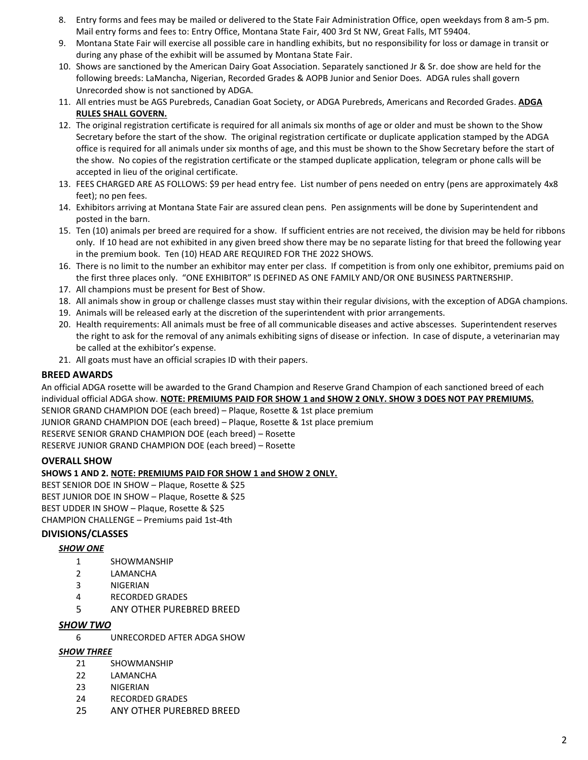- 8. Entry forms and fees may be mailed or delivered to the State Fair Administration Office, open weekdays from 8 am-5 pm. Mail entry forms and fees to: Entry Office, Montana State Fair, 400 3rd St NW, Great Falls, MT 59404.
- 9. Montana State Fair will exercise all possible care in handling exhibits, but no responsibility for loss or damage in transit or during any phase of the exhibit will be assumed by Montana State Fair.
- 10. Shows are sanctioned by the American Dairy Goat Association. Separately sanctioned Jr & Sr. doe show are held for the following breeds: LaMancha, Nigerian, Recorded Grades & AOPB Junior and Senior Does. ADGA rules shall govern Unrecorded show is not sanctioned by ADGA.
- 11. All entries must be AGS Purebreds, Canadian Goat Society, or ADGA Purebreds, Americans and Recorded Grades. **ADGA RULES SHALL GOVERN.**
- 12. The original registration certificate is required for all animals six months of age or older and must be shown to the Show Secretary before the start of the show. The original registration certificate or duplicate application stamped by the ADGA office is required for all animals under six months of age, and this must be shown to the Show Secretary before the start of the show. No copies of the registration certificate or the stamped duplicate application, telegram or phone calls will be accepted in lieu of the original certificate.
- 13. FEES CHARGED ARE AS FOLLOWS: \$9 per head entry fee. List number of pens needed on entry (pens are approximately 4x8 feet); no pen fees.
- 14. Exhibitors arriving at Montana State Fair are assured clean pens. Pen assignments will be done by Superintendent and posted in the barn.
- 15. Ten (10) animals per breed are required for a show. If sufficient entries are not received, the division may be held for ribbons only. If 10 head are not exhibited in any given breed show there may be no separate listing for that breed the following year in the premium book. Ten (10) HEAD ARE REQUIRED FOR THE 2022 SHOWS.
- 16. There is no limit to the number an exhibitor may enter per class. If competition is from only one exhibitor, premiums paid on the first three places only. "ONE EXHIBITOR" IS DEFINED AS ONE FAMILY AND/OR ONE BUSINESS PARTNERSHIP.
- 17. All champions must be present for Best of Show.
- 18. All animals show in group or challenge classes must stay within their regular divisions, with the exception of ADGA champions.
- 19. Animals will be released early at the discretion of the superintendent with prior arrangements.
- 20. Health requirements: All animals must be free of all communicable diseases and active abscesses. Superintendent reserves the right to ask for the removal of any animals exhibiting signs of disease or infection. In case of dispute, a veterinarian may be called at the exhibitor's expense.
- 21. All goats must have an official scrapies ID with their papers.

#### **BREED AWARDS**

An official ADGA rosette will be awarded to the Grand Champion and Reserve Grand Champion of each sanctioned breed of each individual official ADGA show. **NOTE: PREMIUMS PAID FOR SHOW 1 and SHOW 2 ONLY. SHOW 3 DOES NOT PAY PREMIUMS.**

SENIOR GRAND CHAMPION DOE (each breed) – Plaque, Rosette & 1st place premium

JUNIOR GRAND CHAMPION DOE (each breed) – Plaque, Rosette & 1st place premium

RESERVE SENIOR GRAND CHAMPION DOE (each breed) – Rosette

RESERVE JUNIOR GRAND CHAMPION DOE (each breed) – Rosette

#### **OVERALL SHOW**

#### **SHOWS 1 AND 2. NOTE: PREMIUMS PAID FOR SHOW 1 and SHOW 2 ONLY.**

BEST SENIOR DOE IN SHOW – Plaque, Rosette & \$25 BEST JUNIOR DOE IN SHOW – Plaque, Rosette & \$25 BEST UDDER IN SHOW – Plaque, Rosette & \$25 CHAMPION CHALLENGE – Premiums paid 1st-4th

#### **DIVISIONS/CLASSES**

#### *SHOW ONE*

- 1 SHOWMANSHIP
- 2 LAMANCHA
- 3 NIGERIAN
- 4 RECORDED GRADES
- 5 ANY OTHER PUREBRED BREED

#### *SHOW TWO*

6 UNRECORDED AFTER ADGA SHOW

#### *SHOW THREE*

- 21 SHOWMANSHIP
- 22 LAMANCHA
- 23 NIGERIAN
- 24 RECORDED GRADES
- 25 ANY OTHER PUREBRED BREED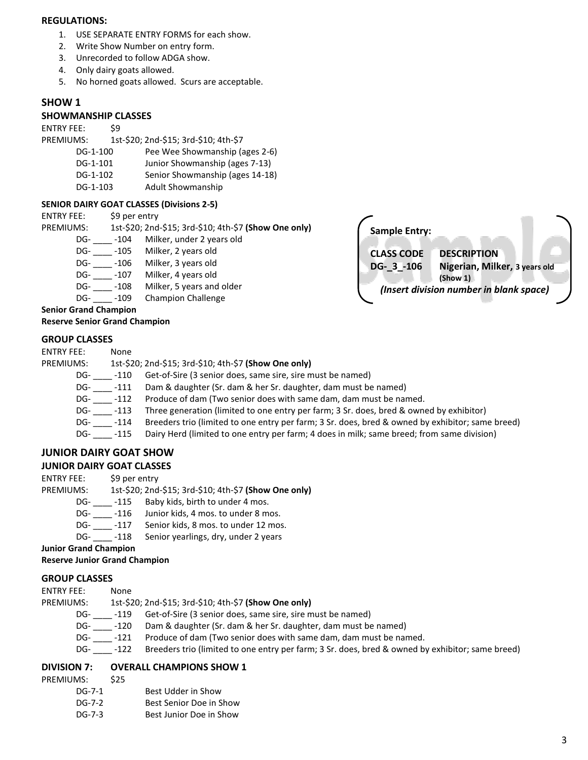#### **REGULATIONS:**

- 1. USE SEPARATE ENTRY FORMS for each show.
- 2. Write Show Number on entry form.
- 3. Unrecorded to follow ADGA show.
- 4. Only dairy goats allowed.
- 5. No horned goats allowed. Scurs are acceptable.

#### **SHOW 1**

#### **SHOWMANSHIP CLASSES**

ENTRY FEE: \$9

PREMIUMS: 1st-\$20; 2nd-\$15; 3rd-\$10; 4th-\$7

- DG-1-100 Pee Wee Showmanship (ages 2-6)
- DG-1-101 Junior Showmanship (ages 7-13)
- DG-1-102 Senior Showmanship (ages 14-18)
- DG-1-103 Adult Showmanship

#### **SENIOR DAIRY GOAT CLASSES (Divisions 2-5)**

| <b>ENTRY FEE:</b> | \$9 per entry |
|-------------------|---------------|
|-------------------|---------------|

| PREMIUMS:                            |        | 1st-\$20; 2nd-\$15; 3rd-\$10; 4th-\$7 (Show One only) |  |
|--------------------------------------|--------|-------------------------------------------------------|--|
| DG-                                  | -104   | Milker, under 2 years old                             |  |
| DG-                                  | $-105$ | Milker, 2 years old                                   |  |
| DG-                                  | -106   | Milker, 3 years old                                   |  |
| DG-                                  | $-107$ | Milker, 4 years old                                   |  |
| DG-                                  | $-108$ | Milker, 5 years and older                             |  |
| DG-                                  | -109   | <b>Champion Challenge</b>                             |  |
| <b>Senior Grand Champion</b>         |        |                                                       |  |
| <b>Reserve Senior Grand Champion</b> |        |                                                       |  |



#### **GROUP CLASSES**

| <b>ENTRY FEE:</b> | None |
|-------------------|------|
|                   |      |

#### PREMIUMS: 1st-\$20; 2nd-\$15; 3rd-\$10; 4th-\$7 **(Show One only)**

DG- \_\_\_\_\_ -110 Get-of-Sire (3 senior does, same sire, sire must be named)

- 
- DG- \_\_\_\_\_ -111 Dam & daughter (Sr. dam & her Sr. daughter, dam must be named)<br>DG- \_\_\_\_ -112 Produce of dam (Two senior does with same dam, dam must be nar Produce of dam (Two senior does with same dam, dam must be named.
- DG- \_\_\_\_ -113 Three generation (limited to one entry per farm; 3 Sr. does, bred & owned by exhibitor)
- DG- \_\_\_\_ -114 Breeders trio (limited to one entry per farm; 3 Sr. does, bred & owned by exhibitor; same breed)
- DG- \_\_\_\_ -115 Dairy Herd (limited to one entry per farm; 4 does in milk; same breed; from same division)

### **JUNIOR DAIRY GOAT SHOW**

#### **JUNIOR DAIRY GOAT CLASSES**

ENTRY FEE: \$9 per entry

PREMIUMS: 1st-\$20; 2nd-\$15; 3rd-\$10; 4th-\$7 **(Show One only)**

- DG- \_\_\_\_\_ -115 Baby kids, birth to under 4 mos.
- 
- DG- \_\_\_\_\_ -116 Junior kids, 4 mos. to under 8 mos.<br>DG- \_\_\_\_ -117 Senior kids, 8 mos. to under 12 mos Senior kids, 8 mos. to under 12 mos.
- DG- -118 Senior yearlings, dry, under 2 years

**Junior Grand Champion**

#### **Reserve Junior Grand Champion**

#### **GROUP CLASSES**

| PREMIUMS: | 1st-\$20; 2nd-\$15; 3rd-\$10; 4th-\$7 (Show One only) |  |
|-----------|-------------------------------------------------------|--|
|           |                                                       |  |

- DG- \_\_\_\_ -119 Get-of-Sire (3 senior does, same sire, sire must be named)
- DG- \_\_\_\_ -120 Dam & daughter (Sr. dam & her Sr. daughter, dam must be named)
- DG- \_\_\_\_\_ -121 Produce of dam (Two senior does with same dam, dam must be named.
- DG- \_\_\_\_ -122 Breeders trio (limited to one entry per farm; 3 Sr. does, bred & owned by exhibitor; same breed)

#### **DIVISION 7: OVERALL CHAMPIONS SHOW 1**

- PREMIUMS: \$25
	- DG-7-1 Best Udder in Show
	- DG-7-2 Best Senior Doe in Show
	- DG-7-3 Best Junior Doe in Show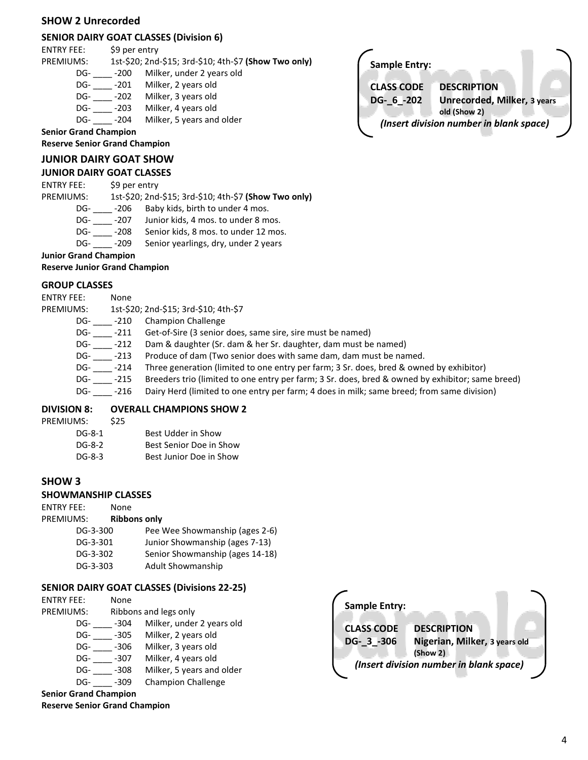#### **SHOW 2 Unrecorded**

#### **SENIOR DAIRY GOAT CLASSES (Division 6)**

ENTRY FEE: \$9 per entry

PREMIUMS: 1st-\$20; 2nd-\$15; 3rd-\$10; 4th-\$7 **(Show Two only)**

- DG- \_\_\_\_\_ -200 Milker, under 2 years old<br>DG- -201 Milker, 2 years old
- Milker, 2 years old
- DG- \_\_\_\_\_ -202 Milker, 3 years old<br>DG- \_\_\_\_ -203 Milker, 4 years old
- Milker, 4 years old DG- \_\_\_\_\_ -204 Milker, 5 years and older
	-

**Senior Grand Champion**

**Reserve Senior Grand Champion**

#### **JUNIOR DAIRY GOAT SHOW**

#### **JUNIOR DAIRY GOAT CLASSES**

ENTRY FEE: \$9 per entry

PREMIUMS: 1st-\$20; 2nd-\$15; 3rd-\$10; 4th-\$7 **(Show Two only)**

- DG- \_\_\_\_\_ -206 Baby kids, birth to under 4 mos.<br>DG- \_\_\_\_ -207 Junior kids, 4 mos. to under 8 mos.
- DG- \_\_\_\_\_ -207 Junior kids, 4 mos. to under 8 mos.<br>DG- \_\_\_\_\_ -208 Senior kids, 8 mos. to under 12 mos
- Senior kids, 8 mos. to under 12 mos.
- DG- \_\_\_\_\_ -209 Senior yearlings, dry, under 2 years

**Junior Grand Champion**

#### **Reserve Junior Grand Champion**

#### **GROUP CLASSES**

| ENTRY FEE: | None   |                                                                                                  |
|------------|--------|--------------------------------------------------------------------------------------------------|
| PREMIUMS:  |        | 1st-\$20; 2nd-\$15; 3rd-\$10; 4th-\$7                                                            |
| DG-        | -210   | <b>Champion Challenge</b>                                                                        |
| DG-        | -211   | Get-of-Sire (3 senior does, same sire, sire must be named)                                       |
| DG-        | $-212$ | Dam & daughter (Sr. dam & her Sr. daughter, dam must be named)                                   |
| DG-        | -213   | Produce of dam (Two senior does with same dam, dam must be named.                                |
| DG-        | -214   | Three generation (limited to one entry per farm; 3 Sr. does, bred & owned by exhibitor)          |
| DG-        | -215   | Breeders trio (limited to one entry per farm; 3 Sr. does, bred & owned by exhibitor; same breed) |
| DG-        | -216   | Dairy Herd (limited to one entry per farm; 4 does in milk; same breed; from same division)       |

#### **DIVISION 8: OVERALL CHAMPIONS SHOW 2**

| PREMIUMS: | \$25 |                         |
|-----------|------|-------------------------|
| DG-8-1    |      | Best Udder in Show      |
| DG-8-2    |      | Best Senior Doe in Show |
| DG-8-3    |      | Best Junior Doe in Show |

#### **SHOW 3**

#### **SHOWMANSHIP CLASSES**

ENTRY FEE: None

#### PREMIUMS: **Ribbons only**

| DG-3-300 | Pee Wee Showmanship (ages 2-6)  |
|----------|---------------------------------|
| DG-3-301 | Junior Showmanship (ages 7-13)  |
| DG-3-302 | Senior Showmanship (ages 14-18) |
| DG-3-303 | <b>Adult Showmanship</b>        |
|          |                                 |

#### **SENIOR DAIRY GOAT CLASSES (Divisions 22-25)**

| <b>ENTRY FEE:</b> | None   |                           |
|-------------------|--------|---------------------------|
| PREMIUMS:         |        | Ribbons and legs only     |
| DG-               | $-304$ | Milker, under 2 years old |
| DG-               | -305   | Milker, 2 years old       |
| DG-               | -306   | Milker, 3 years old       |
| DG-               | $-307$ | Milker, 4 years old       |
| DG-               | $-308$ | Milker, 5 years and older |
| DG-               | $-309$ | <b>Champion Challenge</b> |

**Senior Grand Champion Reserve Senior Grand Champion**



**Sample Entry: CLASS CODE DESCRIPTION DG-\_6\_-202 Unrecorded, Milker, 3 years old (Show 2)** *(Insert division number in blank space)*

4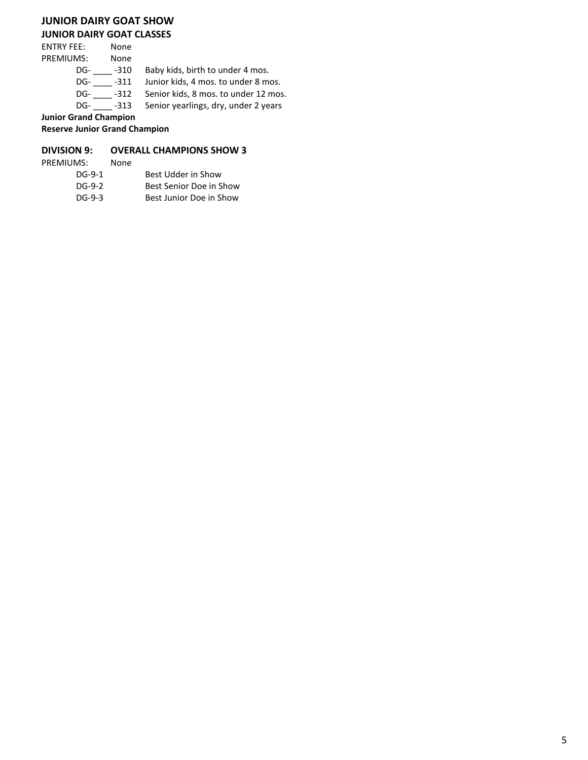## **JUNIOR DAIRY GOAT SHOW**

#### **JUNIOR DAIRY GOAT CLASSES**

| <b>ENTRY FEE:</b>            | None   |                                      |
|------------------------------|--------|--------------------------------------|
| <b>PREMIUMS:</b>             | None   |                                      |
| DG-                          | -310   | Baby kids, birth to under 4 mos.     |
| DG-                          | $-311$ | Junior kids, 4 mos. to under 8 mos.  |
| DG-                          | $-312$ | Senior kids, 8 mos. to under 12 mos. |
| DG-                          | -313   | Senior yearlings, dry, under 2 years |
| <b>Junior Grand Champion</b> |        |                                      |

**Reserve Junior Grand Champion**

#### **DIVISION 9: OVERALL CHAMPIONS SHOW 3**

| PREMIUMS: | None |                         |
|-----------|------|-------------------------|
| DG-9-1    |      | Best Udder in Show      |
| $DG-9-2$  |      | Best Senior Doe in Show |
| $DG-9-3$  |      | Best Junior Doe in Show |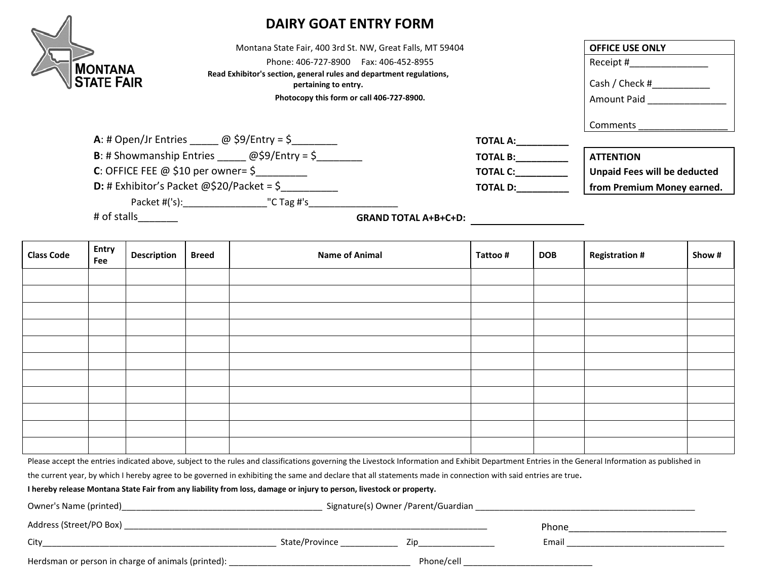

# **DAIRY GOAT ENTRY FORM**

Montana State Fair, 400 3rd St. NW, Great Falls, MT 59404 Phone: 406-727-8900 Fax: 406-452-8955 **Read Exhibitor's section, general rules and department regulations,**  pertaining to entry.

Photocopy this form or call 406-727-8900.

| <b>OFFICE USE ONLY</b> |
|------------------------|
| Receipt #              |
| Cash / Check #         |
| <b>Amount Paid</b>     |
| Comments               |
|                        |

**A**: # Open/Jr Entries \_\_\_\_\_ @ \$9/Entry = \$\_\_\_\_\_\_\_\_ **TOTAL A:\_\_\_\_\_\_\_\_\_\_**

**B**: # Showmanship Entries \_\_\_\_\_\_ @\$9/Entry = \$\_\_\_\_\_\_\_\_ **TOTAL B:**  $\boxed{\text{ATTENTION}}$ 

**C**: OFFICE FEE @ \$10 per owner= \$\_\_\_\_\_\_\_\_\_\_\_\_\_ **TOTAL C:** TOTAL C: **Unpaid Fees will be deducted** 

**D:** # Exhibitor's Packet @\$20/Packet = \$\_\_\_\_\_\_\_\_\_\_ **TOTAL D:\_\_\_\_\_\_\_\_\_\_ from Premium Money earned.**

Packet #('s):\_\_\_\_\_\_\_\_\_\_\_\_\_\_\_\_\_\_\_\_\_\_\_"C Tag #'s\_\_\_\_\_\_\_\_\_\_\_\_\_\_\_\_\_\_\_\_\_\_\_\_\_\_\_\_\_\_\_\_\_\_

# of stalls\_\_\_\_\_\_\_ **GRAND TOTAL A+B+C+D:**

| <b>Class Code</b> | Entry<br>Fee | <b>Description</b> | <b>Breed</b> | <b>Name of Animal</b> | Tattoo # | <b>DOB</b> | <b>Registration #</b> | Show # |
|-------------------|--------------|--------------------|--------------|-----------------------|----------|------------|-----------------------|--------|
|                   |              |                    |              |                       |          |            |                       |        |
|                   |              |                    |              |                       |          |            |                       |        |
|                   |              |                    |              |                       |          |            |                       |        |
|                   |              |                    |              |                       |          |            |                       |        |
|                   |              |                    |              |                       |          |            |                       |        |
|                   |              |                    |              |                       |          |            |                       |        |
|                   |              |                    |              |                       |          |            |                       |        |
|                   |              |                    |              |                       |          |            |                       |        |
|                   |              |                    |              |                       |          |            |                       |        |
|                   |              |                    |              |                       |          |            |                       |        |
|                   |              |                    |              |                       |          |            |                       |        |

Please accept the entries indicated above, subject to the rules and classifications governing the Livestock Information and Exhibit Department Entries in the General Information as published in

the current year, by which I hereby agree to be governed in exhibiting the same and declare that all statements made in connection with said entries are true**.** 

**I hereby release Montana State Fair from any liability from loss, damage or injury to person, livestock or property.**

| Owner's Name (printed)                             | Signature(s) Owner /Parent/Guardian |             |       |  |
|----------------------------------------------------|-------------------------------------|-------------|-------|--|
| Address (Street/PO Box)                            |                                     |             | Phone |  |
| City                                               | State/Province                      | $\sqrt{10}$ | Email |  |
| Herdsman or person in charge of animals (printed): |                                     | Phone/cell  |       |  |